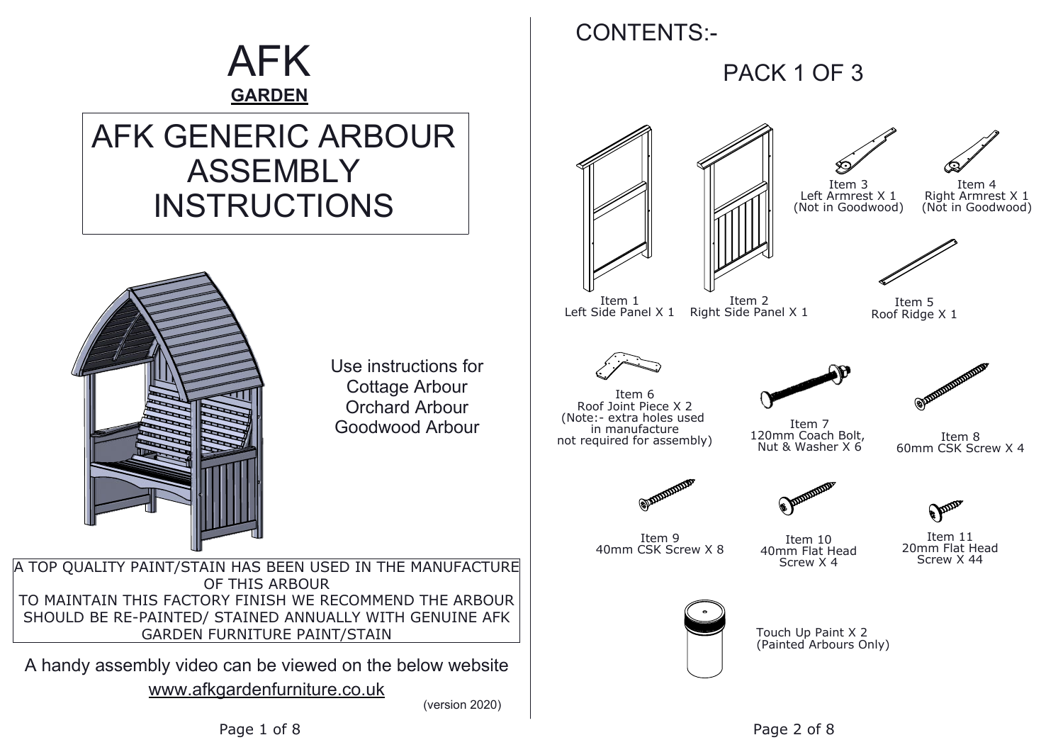Item 7 120mm Coach Bolt, Nut & Washer X 6

Item 11 20mm Flat Head Screw X 44

Elm

## AFK **GARDEN**

# AFK GENERIC ARBOUR ASSEMBLY INSTRUCTIONS



### CONTENTS:-

PACK 1 OF 3





Use instructions for Cottage Arbour Orchard Arbour Goodwood Arbour

Item 1 Left Side Panel X 1

A TOP QUALITY PAINT/STAIN HAS BEEN USED IN THE MANUFACTURE OF THIS ARBOUR TO MAINTAIN THIS FACTORY FINISH WE RECOMMEND THE ARBOUR SHOULD BE RE-PAINTED/ STAINED ANNUALLY WITH GENUINE AFK GARDEN FURNITURE PAINT/STAIN

www.afkgardenfurniture.co.uk A handy assembly video can be viewed on the below website

(version 2020)

Item 8 60mm CSK Screw X 4

Item 9 40mm CSK Screw X 8



Item 10 40mm Flat Head Screw X 4

Item 2 Right Side Panel X 1



![](_page_0_Figure_27.jpeg)

Item 5 Roof Ridge X 1

![](_page_0_Picture_29.jpeg)

![](_page_0_Picture_30.jpeg)

![](_page_0_Picture_31.jpeg)

Item 6 Roof Joint Piece X 2 (Note:- extra holes used in manufacture not required for assembly)

![](_page_0_Picture_13.jpeg)

![](_page_0_Picture_24.jpeg)

![](_page_0_Picture_25.jpeg)

Item 4 Right Armrest X 1 (Not in Goodwood)

Touch Up Paint X 2 (Painted Arbours Only)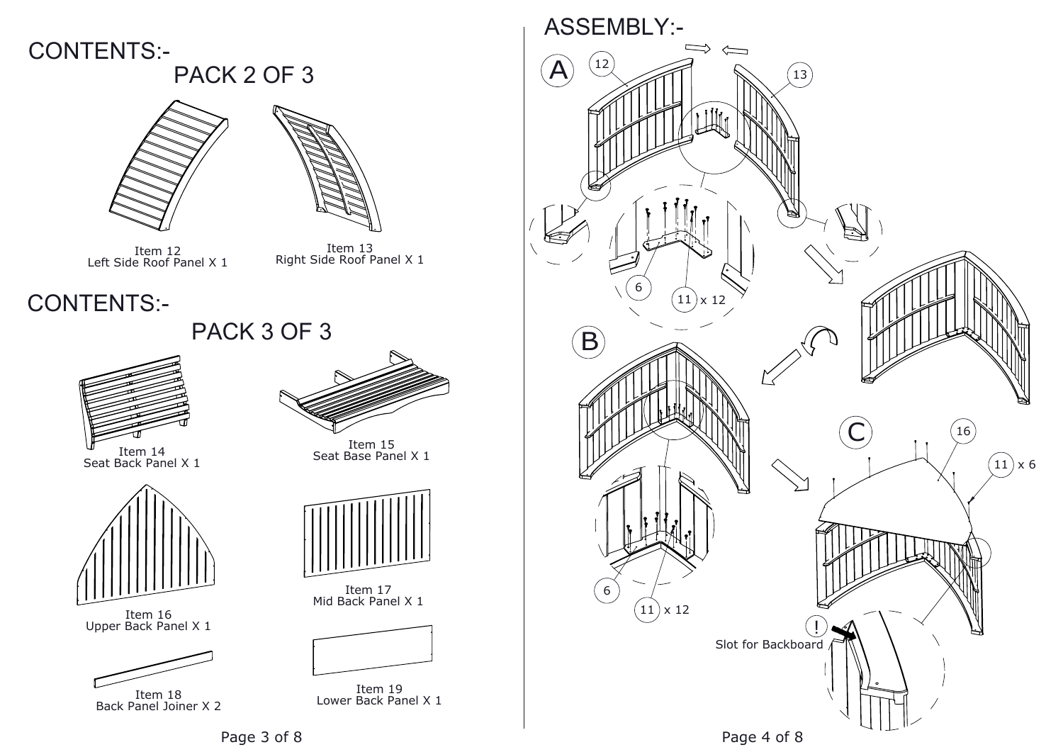![](_page_1_Picture_7.jpeg)

Item 14 Seat Back Panel X 1

![](_page_1_Picture_13.jpeg)

Item 15 Seat Base Panel X 1

![](_page_1_Picture_9.jpeg)

Item 16 Upper Back Panel X 1

![](_page_1_Picture_11.jpeg)

Item 18<br>Back Panel Joiner X 2

![](_page_1_Picture_15.jpeg)

Item 17 Mid Back Panel X 1

![](_page_1_Picture_17.jpeg)

Item 19 Lower Back Panel X 1 Item 18

![](_page_1_Picture_19.jpeg)

CONTENTS:-

### PACK 2 OF 3 CONTENTS:-

![](_page_1_Picture_1.jpeg)

![](_page_1_Picture_2.jpeg)

Item 12<br>Left Side Roof Panel X 1

Item 12<br>E Roof Panel X 1 Provid Right Side Roof Panel X 1

## PACK 3 OF 3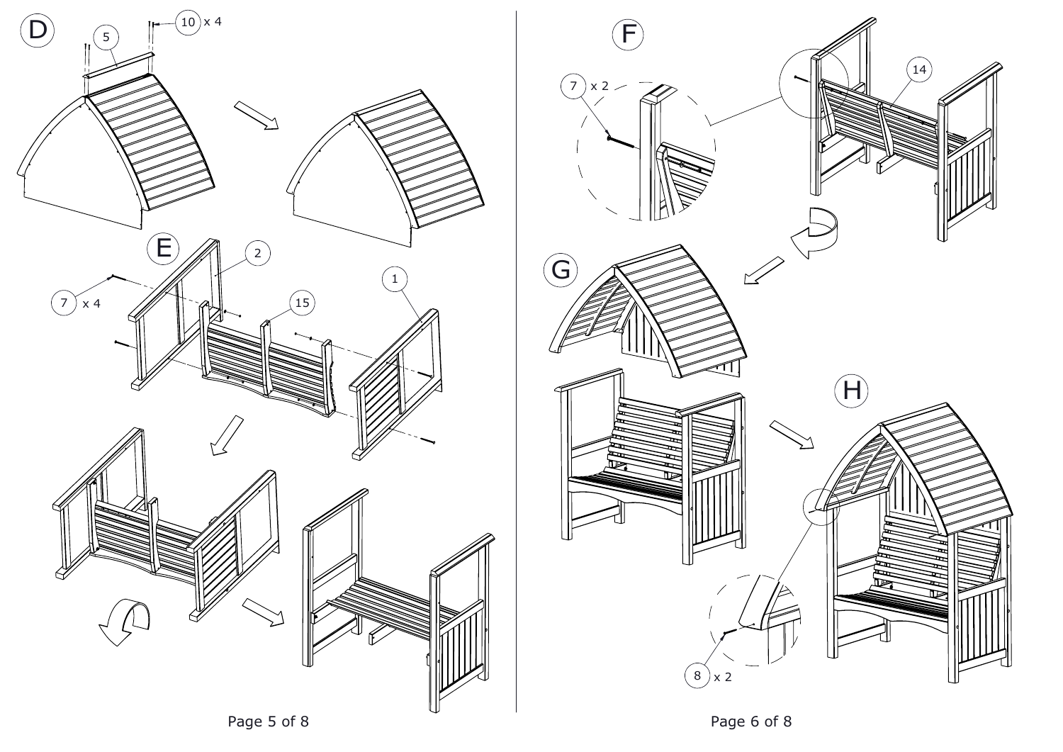![](_page_2_Picture_0.jpeg)

![](_page_2_Picture_1.jpeg)